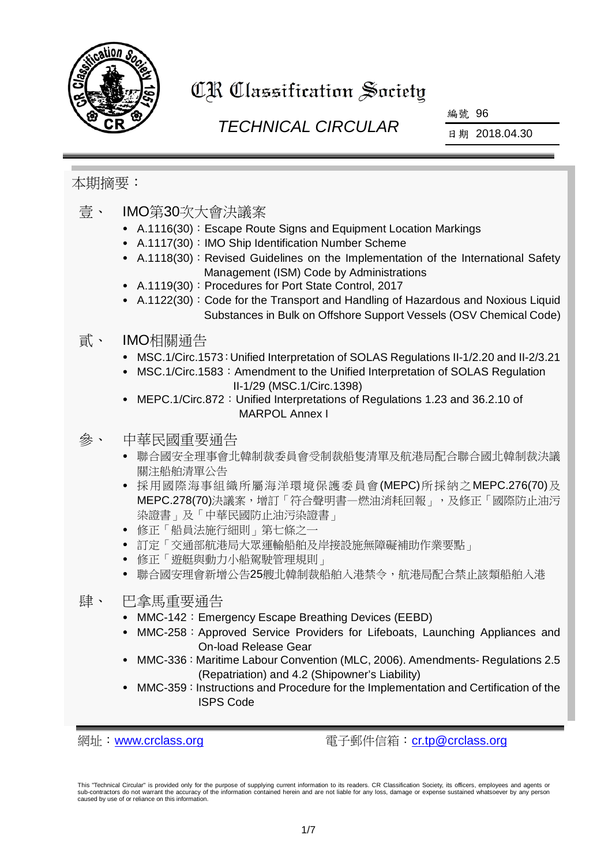

# CR Classification Society

# *TECHNICAL CIRCULAR*

編號 96

日期 2018.04.30

# 本期摘要:

- 壹、 IMO第30次大會決議案
	- A.1116(30):Escape Route Signs and Equipment Location Markings
	- A.1117(30): IMO Ship Identification Number Scheme
	- A.1118(30): Revised Guidelines on the Implementation of the International Safety Management (ISM) Code by Administrations
	- A.1119(30):Procedures for Port State Control, 2017
	- A.1122(30): Code for the Transport and Handling of Hazardous and Noxious Liquid Substances in Bulk on Offshore Support Vessels (OSV Chemical Code)

### 貳、 IMO相關通告

- MSC.1/Circ.1573:Unified Interpretation of SOLAS Regulations II-1/2.20 and II-2/3.21
- MSC.1/Circ.1583: Amendment to the Unified Interpretation of SOLAS Regulation II-1/29 (MSC.1/Circ.1398)
- MEPC.1/Circ.872:Unified Interpretations of Regulations 1.23 and 36.2.10 of MARPOL Annex I

# 參、 中華民國重要通告

- 聯合國安全理事會北韓制裁委員會受制裁船隻清單及航港局配合聯合國北韓制裁決議 關注船舶清單公告
- 採用國際海事組織所屬海洋環境保護委員會(MEPC)所採納之MEPC.276(70)及 MEPC.278(70)決議案,增訂「符合聲明書一燃油消耗回報」,及修正「國際防止油污 染證書」及「中華民國防止油污染證書」
- 修正「船員法施行細則」第七條之一
- 訂定「交通部航港局大眾運輸船舶及岸接設施無障礙補助作業要點」
- 修正「遊艇與動力小船駕駛管理規則」
- 聯合國安理會新增公告25艘北韓制裁船舶入港禁令,航港局配合禁止該類船舶入港

# 肆、 巴拿馬重要通告

- MMC-142: Emergency Escape Breathing Devices (EEBD)
- MMC-258: Approved Service Providers for Lifeboats, Launching Appliances and On-load Release Gear
- MMC-336: Maritime Labour Convention (MLC, 2006). Amendments- Regulations 2.5 (Repatriation) and 4.2 (Shipowner's Liability)
- MMC-359: Instructions and Procedure for the Implementation and Certification of the ISPS Code

網址:[www.crclass.org](http://www.crclass.org/) 電子郵件信箱:[cr.tp@crclass.org](mailto:cr.tp@crclass.org)

This "Technical Circular" is provided only for the purpose of supplying current information to its readers. CR Classification Society, its officers, employees and agents or sub-contractors do not warrant the accuracy of the information contained herein and are not liable for any loss, damage or expense sustained whatsoever by any person caused by use of or reliance on this information.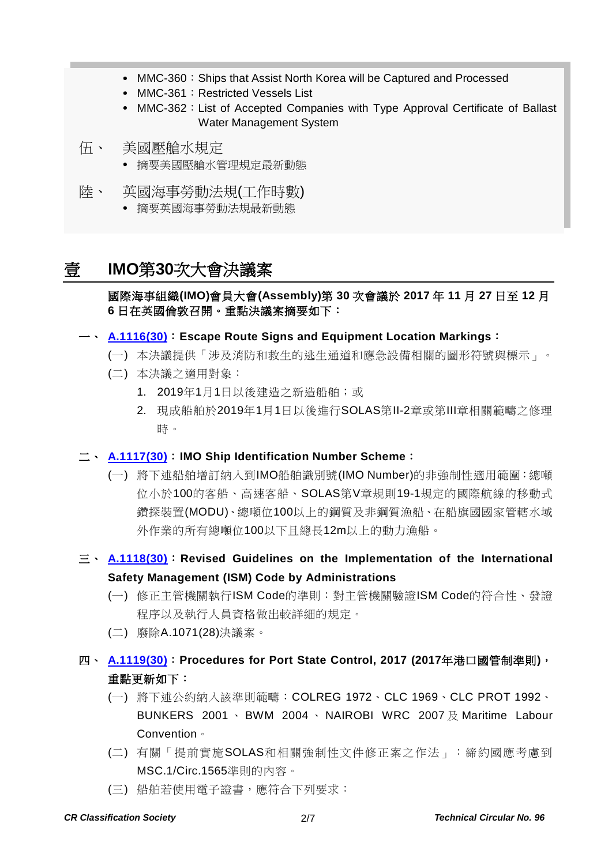- MMC-360: Ships that Assist North Korea will be Captured and Processed
- MMC-361: Restricted Vessels List
- MMC-362: List of Accepted Companies with Type Approval Certificate of Ballast Water Management System
- 伍、 美國壓艙水規定
	- 摘要美國壓艙水管理規定最新動態
- 陸、 英國海事勞動法規(工作時數)
	- 摘要英國海事勞動法規最新動態

# 壹 **IMO**第**30**次大會決議案

### 國際海事組織**(IMO)**會員大會**(Assembly)**第 **30** 次會議於 **2017** 年 **11** 月 **27** 日至 **12** 月 **6** 日在英國倫敦召開。重點決議案摘要如下:

#### 一、 **[A.1116\(30\)](http://www.crclass.org/chinese/download/ti-tc/96/1-1%20A%2030-Res.1116%20-%20Escape%20Route%20Signs%20And%20Equipment%20Location%20Markings%20(Secretariat).pdf)**:**Escape Route Signs and Equipment Location Markings**:

- (一) 本決議提供「涉及消防和救生的逃生通道和應急設備相關的圖形符號與標示」。
- (二) 本決議之適用對象:
	- 1. 2019年1月1日以後建造之新造船舶;或
	- 2. 現成船舶於2019年1月1日以後進行SOLAS第Ⅱ-2章或第Ⅲ章相關範疇之修理 時。

#### 二、 **[A.1117\(30\)](http://www.crclass.org/chinese/download/ti-tc/96/1-2%20A%2030-Res.1117%20-%20Imo%20Ship%20Identification%20Number%20Scheme%20(Secretariat).pdf)**:**IMO Ship Identification Number Scheme**:

- (一) 將下述船舶增訂納入到IMO船舶識別號(IMO Number)的非強制性適用範圍:總噸 位小於100的客船、高速客船、SOLAS第V章規則19-1規定的國際航線的移動式 鑽探裝置(MODU)、總噸位100以上的鋼質及非鋼質漁船、在船旗國國家管轄水域 外作業的所有總噸位100以下且總長12m以上的動力漁船。
- 三、 **[A.1118\(30\)](http://www.crclass.org/chinese/download/ti-tc/96/1-3%20A%2030-Res.1118%20-%20Revised%20Guidelines%20On%20The%20Implementation%20Of%20The%20InternationalSafety%20Management%20(Ism)%20Code...%20(Secretariat).pdf)**:**Revised Guidelines on the Implementation of the International Safety Management (ISM) Code by Administrations**
	- (一) 修正主管機關執行ISM Code的準則:對主管機關驗證ISM Code的符合性、發證 程序以及執行人員資格做出較詳細的規定。
	- (二) 廢除A.1071(28)決議案。
- 四、 **[A.1119\(30\)](http://www.crclass.org/chinese/download/ti-tc/96/1-4%20A%2030-Res.1119%20-%20Adopted%20on%206%20December%202017(Agenda%20item%209)PROCEDURES%20FOR%20PORT%20STATE%20CONTROL,%202017%20(Secretariat).pdf)**:**Procedures for Port State Control, 2017 (2017**年港口國管制準則**)**, 重點更新如下:
	- (一) 將下述公約納入該準則範疇:COLREG 1972、CLC 1969、CLC PROT 1992、 BUNKERS 2001 · BWM 2004 · NAIROBI WRC 2007 及 Maritime Labour Convention。
	- (二) 有關「提前實施SOLAS和相關強制性文件修正案之作法」:締約國應考慮到 MSC.1/Circ.1565準則的內容。
	- (三) 船舶若使用電子證書,應符合下列要求: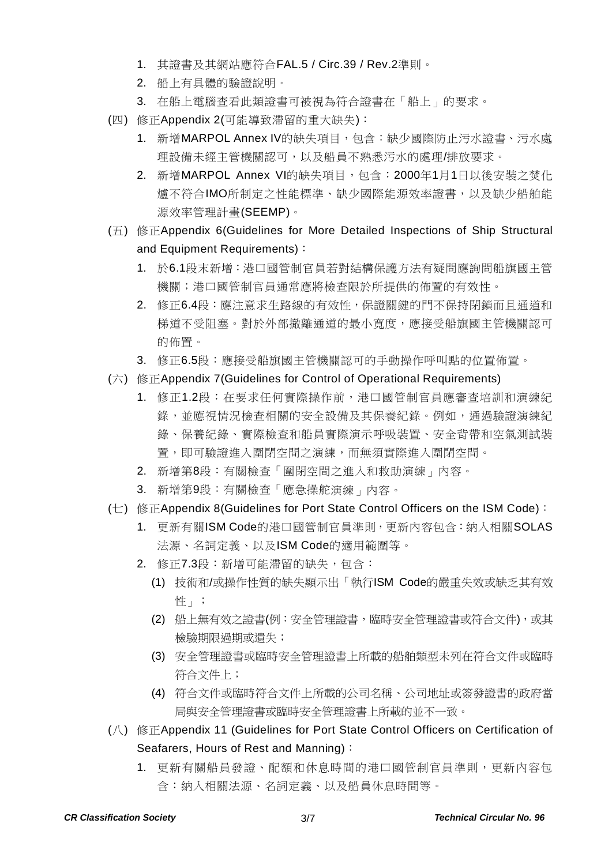- 1. 其證書及其網站應符合FAL.5 / Circ.39 / Rev.2準則。
- 2. 船上有具體的驗證說明。
- 3. 在船上電腦查看此類證書可被視為符合證書在「船上」的要求。
- (四) 修正Appendix 2(可能導致滯留的重大缺失):
	- 1. 新增MARPOL Annex IV的缺失項目,包含:缺少國際防止污水證書、污水處 理設備未經主管機關認可,以及船員不熟悉污水的處理/排放要求。
	- 2. 新增MARPOL Annex VI的缺失項目,包含:2000年1月1日以後安裝之焚化 爐不符合IMO所制定之性能標準、缺少國際能源效率證書,以及缺少船舶能 源效率管理計畫(SEEMP)。
- (五) 修正Appendix 6(Guidelines for More Detailed Inspections of Ship Structural and Equipment Requirements):
	- 1. 於6.1段末新增:港口國管制官員若對結構保護方法有疑問應詢問船旗國主管 機關;港口國管制官員通常應將檢查限於所提供的佈置的有效性。
	- 2. 修正6.4段:應注意求生路線的有效性,保證關鍵的門不保持閉鎖而且通道和 梯道不受阻塞。對於外部撤離通道的最小寬度,應接受船旗國主管機關認可 的佈置。
	- 3. 修正6.5段:應接受船旗國主管機關認可的手動操作呼叫點的位置佈置。
- (六) 修正Appendix 7(Guidelines for Control of Operational Requirements)
	- 1. 修正1.2段:在要求任何實際操作前,港口國管制官員應審查培訓和演練紀 錄,並應視情況檢查相關的安全設備及其保養紀錄。例如,通過驗證演練紀 錄、保養紀錄、實際檢查和船員實際演示呼吸裝置、安全背帶和空氣測試裝 置,即可驗證進入圍閉空間之演練,而無須實際進入圍閉空間。
	- 2. 新增第8段:有關檢查「圍閉空間之進入和救助演練」內容。
	- 3. 新增第9段:有關檢查「應急操舵演練」內容。
- (七) 修正Appendix 8(Guidelines for Port State Control Officers on the ISM Code):
	- 1. 更新有關ISM Code的港口國管制官員準則,更新內容包含:納入相關SOLAS 法源、名詞定義、以及ISM Code的適用範圍等。
	- 2. 修正7.3段:新增可能滯留的缺失,包含:
		- (1) 技術和/或操作性質的缺失顯示出「執行ISM Code的嚴重失效或缺乏其有效 性」;
		- (2) 船上無有效之證書(例:安全管理證書,臨時安全管理證書或符合文件),或其 檢驗期限過期或遺失;
		- (3) 安全管理證書或臨時安全管理證書上所載的船舶類型未列在符合文件或臨時 符合文件上;
		- (4) 符合文件或臨時符合文件上所載的公司名稱、公司地址或簽發證書的政府當 局與安全管理證書或臨時安全管理證書上所載的並不一致。
- (八) 修正Appendix 11 (Guidelines for Port State Control Officers on Certification of Seafarers, Hours of Rest and Manning):
	- 1. 更新有關船員發證、配額和休息時間的港口國管制官員準則,更新內容包 含:納入相關法源、名詞定義、以及船員休息時間等。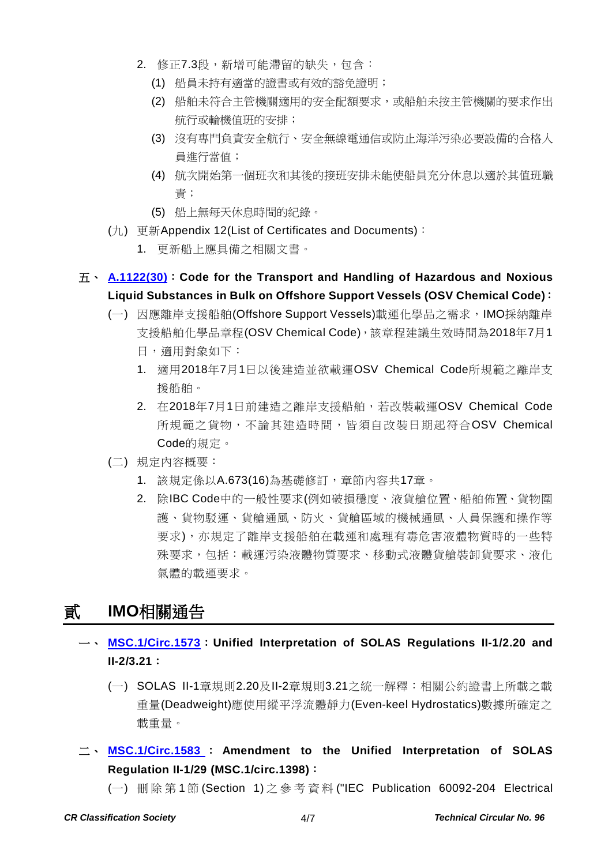- 2. 修正7.3段,新增可能滯留的缺失,包含:
	- (1) 船員未持有適當的證書或有效的豁免證明;
	- (2) 船舶未符合主管機關適用的安全配額要求,或船舶未按主管機關的要求作出 航行或輪機值班的安排;
	- (3) 沒有專門負責安全航行、安全無線電通信或防止海洋污染必要設備的合格人 員進行當值;
	- (4) 航次開始第一個班次和其後的接班安排未能使船員充分休息以適於其值班職 責;
	- (5) 船上無每天休息時間的紀錄。
- (九) 更新Appendix 12(List of Certificates and Documents):
	- 1. 更新船上應具備之相關文書。

### 五、 **[A.1122\(30\)](http://www.crclass.org/chinese/download/ti-tc/96/1-5%20A%2030-Res.1122%20-%20CODE%20FOR%20THE%20TRANSPORT%20AND%20HANDLING%20OF%20HAZARDOUS%20AND%20NOXIOUS%20LIQUID%20SUBSTANCES%20IN%20BULK%20ON...%20(Secretariat).pdf)**:**Code for the Transport and Handling of Hazardous and Noxious Liquid Substances in Bulk on Offshore Support Vessels (OSV Chemical Code)**:

- (一) 因應離岸支援船舶(Offshore Support Vessels)載運化學品之需求,IMO採納離岸 支援船舶化學品章程(OSV Chemical Code),該章程建議生效時間為2018年7月1
	- 日,適用對象如下:
	- 1. 適用2018年7月1日以後建造並欲載運OSV Chemical Code所規範之離岸支 援船舶。
	- 2. 在2018年7月1日前建造之離岸支援船舶,若改裝載運OSV Chemical Code 所規範之貨物,不論其建造時間,皆須自改裝日期起符合OSV Chemical Code的規定。
- (二) 規定內容概要:
	- 1. 該規定係以A.673(16)為基礎修訂, 章節內容共17章。
	- 2. 除IBC Code中的一般性要求(例如破損穩度、液貨艙位置、船舶佈置、貨物圍 護、貨物駁運、貨艙通風、防火、貨艙區域的機械通風、人員保護和操作等 要求),亦規定了離岸支援船舶在載運和處理有毒危害液體物質時的一些特 殊要求,包括:載運污染液體物質要求、移動式液體貨艙裝卸貨要求、液化 氣體的載運要求。

# 貳 **IMO**相關通告

- 一、 **[MSC.1/Circ.1573](http://www.crclass.org/chinese/download/ti-tc/96/2-1%20MSC.1-Circ.1573%20-%20Unified%20Interpretation%20Of%20Solas%20Regulations%20Ii-12.20%20And%20Ii-23.21%20(Secretariat)%20(1).pdf)**:**Unified Interpretation of SOLAS Regulations II-1/2.20 and II-2/3.21**:
	- (一) SOLAS II-1章規則2.20及II-2章規則3.21之統一解釋:相關公約證書上所載之載 重量(Deadweight)應使用縱平浮流體靜力(Even-keel Hydrostatics)數據所確定之 載重量。
- 二、 **[MSC.1/Circ.1583](http://www.crclass.org/chinese/download/ti-tc/96/2-2%20MSC.1-Circ.1583%20-%20Amendment%20To%20The%20Unified%20Interpretation%20OfSolas%20Regulation%20Ii-129%20(Msc.1Circ.1398)%20(Secretariat).pdf)** : **Amendment to the Unified Interpretation of SOLAS Regulation II-1/29 (MSC.1/circ.1398)**:
	- (一) 刪除第 1 節 (Section 1) 之參考資料 ("IEC Publication 60092-204 Electrical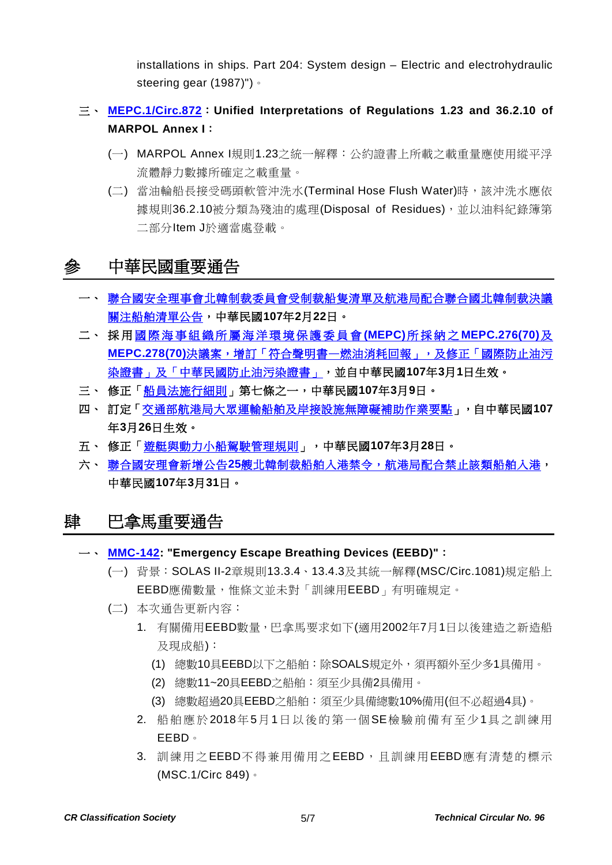installations in ships. Part 204: System design – Electric and electrohydraulic steering gear (1987)")。

# 三、 **[MEPC.1/Circ.872](http://www.crclass.org/chinese/download/ti-tc/96/2-3%20MEPC.1-Circ.872%20-%20Unified%20Interpretations%20Of%20Regulations%201.23%20And%2036.2.10%20Of%20Marpol%20Annex%20I%20(Secretariat).pdf)**:**Unified Interpretations of Regulations 1.23 and 36.2.10 of MARPOL Annex I**:

- (一) MARPOL Annex I規則1.23之統一解釋:公約證書上所載之載重量應使用縱平浮 流體靜力數據所確定之載重量。
- (二) 當油輪船長接受碼頭軟管沖洗水(Terminal Hose Flush Water)時,該沖洗水應依 據規則36.2.10被分類為殘油的處理(Disposal of Residues),並以油料紀錄簿第 二部分Item J於適當處登載。

# 參 中華民國重要通告

- 一、 [聯合國安全理事會北韓制裁委員會受制裁船隻清單及航港局配合聯合國北韓制裁決議](https://www.motcmpb.gov.tw/information_103_11998.html) [關注船舶清單公告,](https://www.motcmpb.gov.tw/information_103_11998.html)中華民國**107**年**2**月**22**日。
- 二、 採 用 [國際海事組織所屬海洋環境保護委員會](http://gazette.nat.gov.tw/egFront/detail.do?metaid=96736&log=detailLog) **(MEPC)**所採納之 **MEPC.276(70)**及 MEPC.278(70)決議案,增訂「符合聲明書—[燃油消耗回報」,及修正「國際防止油污](http://gazette.nat.gov.tw/egFront/detail.do?metaid=96736&log=detailLog) [染證書」及「中華民國防止油污染證書」,](http://gazette.nat.gov.tw/egFront/detail.do?metaid=96736&log=detailLog)並自中華民國**107**年**3**月**1**日生效。
- 三、 修正[「船員法施行細則」](http://gazette.nat.gov.tw/egFront/detail.do?metaid=97160&log=detailLog)第七條之一,中華民國**107**年**3**月**9**日。
- 四、 訂定[「交通部航港局大眾運輸船舶及岸接設施無障礙補助作業要點」](http://gazette.nat.gov.tw/egFront/detail.do?metaid=97551&log=detailLog),自中華民國**107** 年**3**月**26**日生效。
- 五、 修正[「遊艇與動力小船駕駛管理規則」](http://gazette.nat.gov.tw/egFront/detail.do?metaid=97581&log=detailLog),中華民國**107**年**3**月**28**日。
- 六、 聯合國安理會新增公告**25**[艘北韓制裁船舶入港禁令,航港局配合禁止該類船舶入港,](https://www.motcmpb.gov.tw/information_15_13760.html) 中華民國**107**年**3**月**31**日。

# 肆 巴拿馬重要通告

- 一、 **[MMC-142:](http://www.crclass.org/chinese/download/ti-tc/96/4-1%20MMC-142-Emergency-Escape-Breathing-Devices-EEBDs-APRIL-2018.pdf) "Emergency Escape Breathing Devices (EEBD)"**:
	- (一) 背景:SOLAS II-2章規則13.3.4、13.4.3及其統一解釋(MSC/Circ.1081)規定船上 EEBD應備數量,惟條文並未對「訓練用EEBD」有明確規定。
	- (二) 本次通告更新內容:
		- 1. 有關備用EEBD數量,巴拿馬要求如下(適用2002年7月1日以後建造之新造船 及現成船):
			- (1) 總數10具EEBD以下之船舶:除SOALS規定外,須再額外至少多1具備用。
			- (2) 總數11~20具EEBD之船舶:須至少具備2具備用。
			- (3) 總數超過20具EEBD之船舶:須至少具備總數10%備用(但不必超過4具)。
		- 2. 船舶應於2018年5月1日以後的第一個SE檢驗前備有至少1具之訓練用 EEBD。
		- 3. 訓練用之EEBD不得兼用備用之EEBD,且訓練用EEBD應有清楚的標示 (MSC.1/Circ 849)。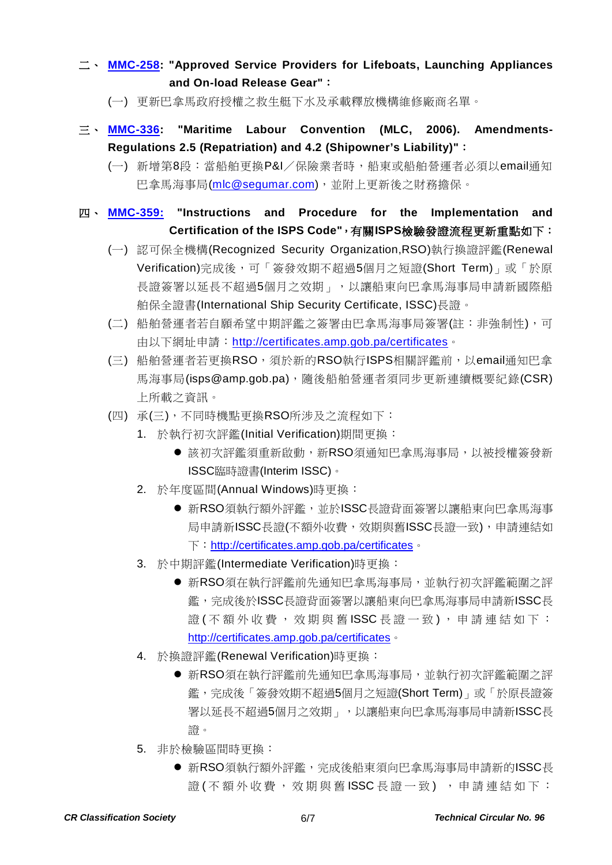### 二、 **[MMC-258:](http://www.crclass.org/chinese/download/ti-tc/96/4-2%20MMC-258-Actualizada-MMC-258-Approved-service-providers-for-lifeboats-launching-APRIL-2018.pdf) "Approved Service Providers for Lifeboats, Launching Appliances and On-load Release Gear"**:

- (一) 更新巴拿馬政府授權之救生艇下水及承載釋放機構維修廠商名單。
- 三、 **[MMC-336:](http://www.crclass.org/chinese/download/ti-tc/96/4-3%20%20MMC-336-MLC-SEGUMAR-22-03-2018.pdf) "Maritime Labour Convention (MLC, 2006). Amendments-Regulations 2.5 (Repatriation) and 4.2 (Shipowner's Liability)"**:
	- (一) 新增第8段:當船舶更換P&I/保險業者時,船東或船舶營運者必須以email通知 巴拿馬海事局[\(mlc@segumar.com\)](mailto:mlc@segumar.com),並附上更新後之財務擔保。

# 四、 **[MMC-359:](http://www.crclass.org/chinese/download/ti-tc/96/4-4%20MMC-359-DIRECTRICES-FEBRUARY.pdf) "Instructions and Procedure for the Implementation and Certification of the ISPS Code"**,有關**ISPS**檢驗發證流程更新重點如下:

- (一) 認可保全機構(Recognized Security Organization,RSO)執行換證評鑑(Renewal Verification)完成後,可「簽發效期不超過5個月之短證(Short Term)」或「於原 長證簽署以延長不超過5個月之效期」,以讓船東向巴拿馬海事局申請新國際船 舶保全證書(International Ship Security Certificate, ISSC)長證。
- (二) 船舶營運者若自願希望中期評鑑之簽署由巴拿馬海事局簽署(註:非強制性),可 由以下網址申請: <http://certificates.amp.gob.pa/certificates>。
- (三) 船舶營運者若更換RSO,須於新的RSO執行ISPS相關評鑑前,以email通知巴拿 馬海事局(isps@amp.gob.pa),隨後船舶營運者須同步更新連續概要紀錄(CSR) 上所載之資訊。
- (四) 承(三),不同時機點更換RSO所涉及之流程如下:
	- 1. 於執行初次評鑑(Initial Verification)期間更換:
		- 該初次評鑑須重新啟動,新RSO須通知巴拿馬海事局,以被授權簽發新 ISSC臨時證書(Interim ISSC)。
	- 2. 於年度區間(Annual Windows)時更換:
		- 新RSO須執行額外評鑑,並於ISSC長證背面簽署以讓船東向巴拿馬海事 局申請新ISSC長證(不額外收費,效期與舊ISSC長證一致),申請連結如 下: <http://certificates.amp.gob.pa/certificates>。
	- 3. 於中期評鑑(Intermediate Verification)時更換:
		- 新RSO須在執行評鑑前先通知巴拿馬海事局,並執行初次評鑑範圍之評 鑑,完成後於ISSC長證背面簽署以讓船東向巴拿馬海事局申請新ISSC長 證 ( 不 額 外 收 費 , 效 期 與 舊 ISSC 長 證 一 致 ) , 申 請 連 結 如 下 : <http://certificates.amp.gob.pa/certificates>。
	- 4. 於換證評鑑(Renewal Verification)時更換:
		- 新RSO須在執行評鑑前先通知巴拿馬海事局,並執行初次評鑑範圍之評 鑑,完成後「簽發效期不超過5個月之短證(Short Term)」或「於原長證簽 署以延長不超過5個月之效期」,以讓船東向巴拿馬海事局申請新ISSC長 證。
	- 5. 非於檢驗區間時更換:
		- 新RSO須執行額外評鑑,完成後船東須向巴拿馬海事局申請新的ISSC長 證(不額外收費,效期與舊 ISSC 長證一致),申請連結如下: